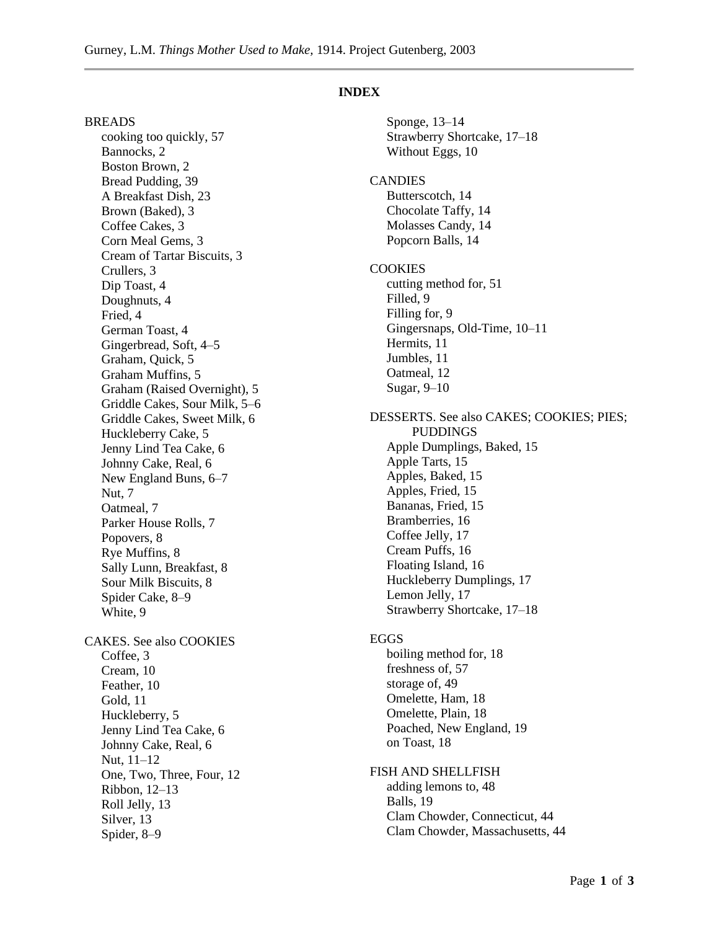### **INDEX**

BREADS cooking too quickly, 57 Bannocks, 2 Boston Brown, 2 Bread Pudding, 39 A Breakfast Dish, 23 Brown (Baked), 3 Coffee Cakes, 3 Corn Meal Gems, 3 Cream of Tartar Biscuits, 3 Crullers, 3 Dip Toast, 4 Doughnuts, 4 Fried, 4 German Toast, 4 Gingerbread, Soft, 4–5 Graham, Quick, 5 Graham Muffins, 5 Graham (Raised Overnight), 5 Griddle Cakes, Sour Milk, 5–6 Griddle Cakes, Sweet Milk, 6 Huckleberry Cake, 5 Jenny Lind Tea Cake, 6 Johnny Cake, Real, 6 New England Buns, 6–7 Nut, 7 Oatmeal, 7 Parker House Rolls, 7 Popovers, 8 Rye Muffins, 8 Sally Lunn, Breakfast, 8 Sour Milk Biscuits, 8 Spider Cake, 8–9 White, 9 CAKES. See also COOKIES Coffee, 3 Cream, 10 Feather, 10 Gold, 11 Huckleberry, 5 Jenny Lind Tea Cake, 6 Johnny Cake, Real, 6 Nut, 11–12 One, Two, Three, Four, 12 Ribbon, 12–13 Roll Jelly, 13 Silver, 13 Spider, 8–9

Sponge, 13–14 Strawberry Shortcake, 17–18 Without Eggs, 10 **CANDIES** Butterscotch, 14 Chocolate Taffy, 14 Molasses Candy, 14 Popcorn Balls, 14 **COOKIES** cutting method for, 51 Filled, 9 Filling for, 9 Gingersnaps, Old-Time, 10–11 Hermits, 11 Jumbles, 11 Oatmeal, 12 Sugar, 9–10 DESSERTS. See also CAKES; COOKIES; PIES; PUDDINGS Apple Dumplings, Baked, 15 Apple Tarts, 15 Apples, Baked, 15 Apples, Fried, 15 Bananas, Fried, 15 Bramberries, 16 Coffee Jelly, 17 Cream Puffs, 16 Floating Island, 16 Huckleberry Dumplings, 17 Lemon Jelly, 17 Strawberry Shortcake, 17–18 EGGS boiling method for, 18 freshness of, 57 storage of, 49 Omelette, Ham, 18 Omelette, Plain, 18 Poached, New England, 19 on Toast, 18 FISH AND SHELLFISH adding lemons to, 48 Balls, 19 Clam Chowder, Connecticut, 44

Clam Chowder, Massachusetts, 44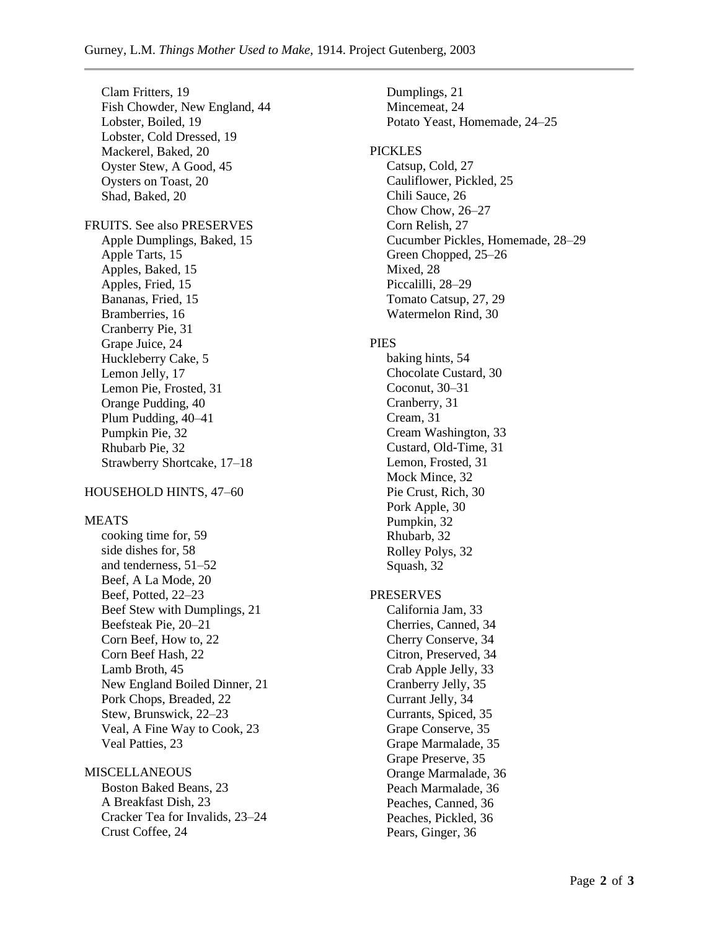Clam Fritters, 19 Fish Chowder, New England, 44 Lobster, Boiled, 19 Lobster, Cold Dressed, 19 Mackerel, Baked, 20 Oyster Stew, A Good, 45 Oysters on Toast, 20 Shad, Baked, 20 FRUITS. See also PRESERVES Apple Dumplings, Baked, 15 Apple Tarts, 15 Apples, Baked, 15 Apples, Fried, 15 Bananas, Fried, 15 Bramberries, 16 Cranberry Pie, 31 Grape Juice, 24 Huckleberry Cake, 5 Lemon Jelly, 17 Lemon Pie, Frosted, 31 Orange Pudding, 40 Plum Pudding, 40–41 Pumpkin Pie, 32 Rhubarb Pie, 32 Strawberry Shortcake, 17–18

# HOUSEHOLD HINTS, 47–60

#### MEATS

cooking time for, 59 side dishes for, 58 and tenderness, 51–52 Beef, A La Mode, 20 Beef, Potted, 22–23 Beef Stew with Dumplings, 21 Beefsteak Pie, 20–21 Corn Beef, How to, 22 Corn Beef Hash, 22 Lamb Broth, 45 New England Boiled Dinner, 21 Pork Chops, Breaded, 22 Stew, Brunswick, 22–23 Veal, A Fine Way to Cook, 23 Veal Patties, 23

**MISCELLANEOUS** Boston Baked Beans, 23 A Breakfast Dish, 23 Cracker Tea for Invalids, 23–24 Crust Coffee, 24

Dumplings, 21 Mincemeat, 24 Potato Yeast, Homemade, 24–25 PICKLES Catsup, Cold, 27 Cauliflower, Pickled, 25 Chili Sauce, 26 Chow Chow, 26–27 Corn Relish, 27 Cucumber Pickles, Homemade, 28–29 Green Chopped, 25–26 Mixed, 28 Piccalilli, 28–29 Tomato Catsup, 27, 29 Watermelon Rind, 30

#### PIES

baking hints, 54 Chocolate Custard, 30 Coconut, 30–31 Cranberry, 31 Cream, 31 Cream Washington, 33 Custard, Old-Time, 31 Lemon, Frosted, 31 Mock Mince, 32 Pie Crust, Rich, 30 Pork Apple, 30 Pumpkin, 32 Rhubarb, 32 Rolley Polys, 32 Squash, 32

# PRESERVES

California Jam, 33 Cherries, Canned, 34 Cherry Conserve, 34 Citron, Preserved, 34 Crab Apple Jelly, 33 Cranberry Jelly, 35 Currant Jelly, 34 Currants, Spiced, 35 Grape Conserve, 35 Grape Marmalade, 35 Grape Preserve, 35 Orange Marmalade, 36 Peach Marmalade, 36 Peaches, Canned, 36 Peaches, Pickled, 36 Pears, Ginger, 36